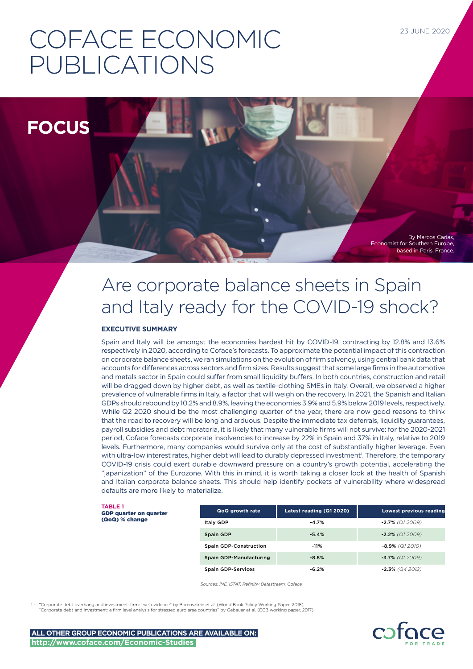# COFACE ECONOMIC PUBLICATIONS

**FOCUS**

based in Paris, France.

Economist for Southern Europe,

By Marcos Carias,

# Are corporate balance sheets in Spain and Italy ready for the COVID-19 shock?

### **EXECUTIVE SUMMARY**

Spain and Italy will be amongst the economies hardest hit by COVID-19, contracting by 12.8% and 13.6% respectively in 2020, according to Coface's forecasts. To approximate the potential impact of this contraction on corporate balance sheets, we ran simulations on the evolution of firm solvency, using central bank data that accounts for differences across sectors and firm sizes. Results suggest that some large firms in the automotive and metals sector in Spain could suffer from small liquidity buffers. In both countries, construction and retail will be dragged down by higher debt, as well as textile-clothing SMEs in Italy. Overall, we observed a higher prevalence of vulnerable firms in Italy, a factor that will weigh on the recovery. In 2021, the Spanish and Italian GDPs should rebound by 10.2% and 8.9%, leaving the economies 3.9% and 5.9% below 2019 levels, respectively. While Q2 2020 should be the most challenging quarter of the year, there are now good reasons to think that the road to recovery will be long and arduous. Despite the immediate tax deferrals, liquidity guarantees, payroll subsidies and debt moratoria, it is likely that many vulnerable firms will not survive: for the 2020-2021 period, Coface forecasts corporate insolvencies to increase by 22% in Spain and 37% in Italy, relative to 2019 levels. Furthermore, many companies would survive only at the cost of substantially higher leverage. Even with ultra-low interest rates, higher debt will lead to durably depressed investment<sup>1</sup>. Therefore, the temporary COVID-19 crisis could exert durable downward pressure on a country's growth potential, accelerating the "japanization" of the Eurozone. With this in mind, it is worth taking a closer look at the health of Spanish and Italian corporate balance sheets. This should help identify pockets of vulnerability where widespread defaults are more likely to materialize.

**TABLE 1** GDP quarter on quarter (QoQ) % change

| QoQ growth rate                | Latest reading (Q1 2020) | <b>Lowest previous reading</b> |
|--------------------------------|--------------------------|--------------------------------|
| Italy GDP                      | $-4.7%$                  | $-2.7\%$ (Q1 2009)             |
| Spain GDP                      | $-5.4%$                  | $-2.2\%$ (Q1 2009)             |
| <b>Spain GDP-Construction</b>  | $-11%$                   | $-8.9\%$ (Q1 2010)             |
| <b>Spain GDP-Manufacturing</b> | $-8.8%$                  | $-3.7\%$ (Q1 2009)             |
| <b>Spain GDP-Services</b>      | $-6.2\%$                 | $-2.3\%$ (Q4 2012)             |

*Sources: INE, ISTAT, Refinitiv Datastream, Coface*

"Corporate debt overhang and investment: firm-level evidence" by Borensztein et al. (World Bank Policy Working Paper, 2018) "Corporate debt and investment: a firm level analysis for stressed euro area countries" by Gebauer et al. (ECB working paper, 2017).

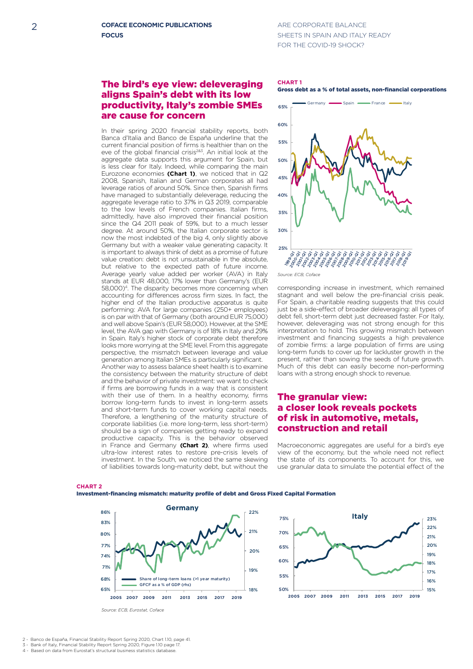## ARE CORPORATE BALANCE SHEETS IN SPAIN AND ITALY READY FOR THE COVID-19 SHOCK?

# The bird's eye view: deleveraging aligns Spain's debt with its low **Germany** productivity, Italy's zombie SMEs are cause for concern

In their spring 2020 financial stability reports, both Banca d'Italia and Banco de España underline that the current financial position of firms is healthier than on the eve of the global financial crisis<sup>2&3</sup>. An initial look at the aggregate data supports this argument for Spain, but is less clear for Italy. Indeed, while comparing the main Eurozone economies (Chart 1), we noticed that in Q2 2008, Spanish, Italian and German corporates all had 18% leverage ratios of around 50%. Since then, Spanish firms **2005 2007 2009 2011 2013 2015 2017 2019** have managed to substantially deleverage, reducing the aggregate leverage ratio to 37% in Q3 2019, comparable to the low levels of French companies. Italian firms, to the low levels of French companies. Italian firms,<br>admittedly, have also improved their financial position since the Q4 2011 peak of 59%, but to a much lesser degree. At around 50%, the Italian corporate sector is now the most indebted of the big 4, only slightly above Germany but with a weaker value generating capacity. It is important to always think of debt as a promise of future value creation: debt is not unsustainable in the absolute, but relative to the expected path of future income. Average yearly value added per worker (AVA) in Italy stands at EUR 48,000, 17% lower than Germany's (EUR started at EUR 19,800, *this letter electronics of CEUR*<br>58,000)<sup>4</sup>. The disparity becomes more concerning when accounting for differences across firm sizes. In fact, the **2005 2007 2009 2011 2013 2015 2017 2019** higher end of the Italian productive apparatus is quite performing: AVA for large companies (250+ employees) is on par with that of Germany (both around EUR 75,000) **2020 (f) 2019 (e)** and well above Spain's (EUR 58,000). However, at the SME and well doove spaints (Ebit 38,000). Howevel, at the SME<br>level, the AVA gap with Germany is of 18% in Italy and 29% in Spain. Italy's higher stock of corporate debt therefore looks more worrying at the SME level. From this aggregate perspective, the mismatch between leverage and value generation among Italian SMEs is particularly significant. **8** 8 Another way to assess balance sheet health is to examine **6** the consistency between the maturity structure of debt **5 5** 6 and the behavior of private investment: we want to check 4 if firms are borrowing funds in a way that is consistent with their use of them. In a healthy economy, firms borrow long-term funds to invest in long-term assets **0** 0 and short-term funds to cover working capital needs. Therefore, a lengthening of the maturity structure of rifierenore, a renguler ling of the maturity structure of<br>corporate liabilities (i.e. more long-term, less short-term) should be a sign of companies getting ready to expand productive capacity. This is the behavior observed in France and Germany **(Chart 2)**, where firms used ultra-low interest rates to restore pre-crisis levels of investment. In the South, we noticed the same skewing **13 13** of liabilities towards long-maturity debt, but without the

#### **CHART 1** Gross debt as a % of total assets, non-financial corporations



*Source: ECB, Coface*

corresponding increase in investment, which remained stagnant and well below the pre-financial crisis peak. For Spain, a charitable reading suggests that this could just be a side-effect of broader deleveraging: all types of debt fell, short-term debt just decreased faster. For Italy, however, deleveraging was not strong enough for this interpretation to hold. This growing mismatch between investment and financing suggests a high prevalence of zombie firms: a large population of firms are using long-term funds to cover up for lackluster growth in the present, rather than sowing the seeds of future growth. Much of this debt can easily become non-performing loans with a strong enough shock to revenue.

# The granular view: a closer look reveals pockets **2010 2011 2012 2013 2014 2015 2016 2017 2009** 86% of risk in automotive, metals, construction and retail

-15% **2005 2007 2009 2011 2013 2015 2017 2019**

Macroeconomic aggregates are useful for a bird's eye view of the economy, but the whole need not reflect the state of its components. To account for this, we are state or its components. To account for this, we use granular data to simulate the potential effect of the







*Source: ECB, Eurostat, Coface*

- 2 Banco de España, Financial Stability Report Spring 2020, Chart 1.10, page 41. 70%
- 3 Bank of Italy, Financial Stability Report Spring 2020, Figure 1.10 page 17. 4 - Based on data from Eurostat's structural business statistics database.

**CHART 2** 8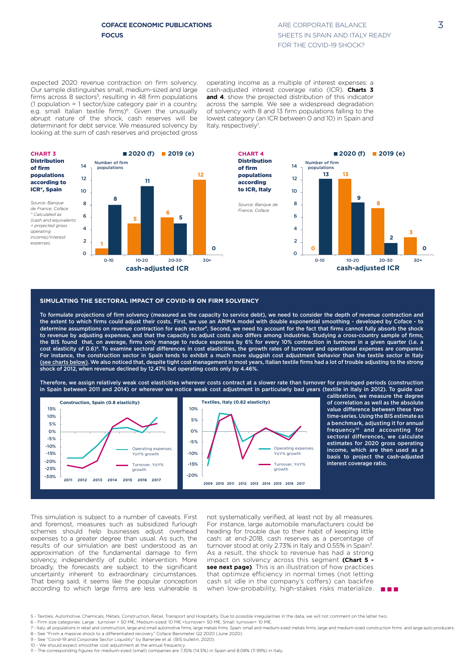**Construction, Spain (0.8 elasticity)**

**10.8**

expected 2020 revenue contraction on firm solvency. Our sample distinguishes small, medium-sized and large firms across 8 sectors<sup>5</sup>, resulting in 48 firm populations (1 population = 1 sector/size category pair in a country, 55% e.g. small Italian textile firms)<sup>6</sup>. Given the unusually abrupt nature of the shock, cash reserves will be determinant for debt service. We measured solvency by **2005 2007 2009 2011 2013 2015 2017 2019** 50% looking at the sum of cash reserves and projected gross

operating income as a multiple of interest expenses: a operating income as a maltiple of interest experises. a<br>cash-adjusted interest coverage ratio (ICR). **Charts 3**<br>and 4, show the projected distribution of this indicator **and 4**, show the projected distribution of this indicator across the sample. We see a widespread degradation of solvency with 8 and 13 firm populations falling to the lowest category (an ICR between 0 and 10) in Spain and Italy, respectively<sup>7</sup>. 0-10 10-20 20-30 20-30 20-30 20-30 20-30 20-30 20-30 20-30 20-30 20-30 20-30 20-30 20-30 20-30 20-30 20-30 20-3<br>20-30 20-30 20-30 20-30 20-30 20-30 20-30 20-30 20-30 20-30 20-30 20-30 20-30 20-30 20-30 20-30 20-30 20-30 20



#### SIMULATING THE SECTORAL IMPACT OF COVID-19 ON FIRM SOLVENCY 75% **Italy** 35% 22%

**2020 (f) 2019 (e)**

to revenue by adjusting expenses, and that the capacity to adjust costs also differs among industries. Studying a cross-country sample of firms,<br>the BIS found that, on average, firms only manage to reduce expenses by 6% f To formulate projections of firm solvency (measured as the capacity to service debt), we need to consider the depth of revenue contraction and shock of 2012, when revenue declined by 12.47% but operating costs only by 4.46%. a construction sector in Spain tends to exhibit a much more sluggish cost as determine assumptions on revenue contraction for each sector<sup>s</sup>. Second, we need to account for the fact that firms cannot fully absorb the shock (see charts below). We also noticed that, despite tight cost management in most years, Italian textile firms had a lot of trouble adjusting to the strong Yow contraction in turnover in a given quarte the extent to which firms could adjust their costs. First, we use an ARIMA model with double exponential smoothing - developed by Coface - to ktile sector ir  $\frac{1}{2}$  and that is contributed to the capacity to adjust costs also differs among industries. Studying a cross-country sample of firms,<br>The BIS found that, on average, firms only manage to reduce expenses by 6% for eve cost elasticity of 0.6) $^{\circ}$ . To examine sectoral differences in cost elasticities, the growth rates of turnover and operational expenses are compared. For instance, the construction sector in Spain tends to exhibit a much more sluggish cost adjustment behavior than the textile sector in Italy of elasticity of 0.6)<sup>9</sup>. To examine sectoral differences in cost elasticities, the growth rates of turnover and operational expenses are compared.<br>In instance, the construction sector in Spain tends to exhibit a much more ES-Medium  $\mathsf{Spa}\$ ا al  $19<sub>cm</sub>$ 

**0 0** 0 in Spain between 2011 and 2014) or wherever we notice weak cost adjustment in particularly bad years (textile in Italy in 2012). To guide our 2 Therefore, we assign relatively weak cost elasticities wherever costs contract at a slower rate than turnover for prolonged periods (construction ES-Small



calibration, we measure the degree of correlation as well as the absolute value difference between these two time-series. Using the BIS estimate as a benchmark, adjusting it for annual frequency<sup>10</sup> and accounting for sectoral differences, we calculate estimates for 2020 gross operating income, which are then used as a basis to project the cash-adjusted interest coverage ratio. IT-Large IT-Small

n n n

solvency, independently of public intervention. More expenses to a greater degree than usual. As such, the according to which large firms are less vulnerable is **8** -15% broadly, the forecasts are subject to the significant schemes should help businesses adjust overhead **2020 (f) 2019 (e)** 15% and foremost, measures such as subsidized furlough That being said, it seems like the popular conception uncertainty inherent to extraordinary circumstances. approximation of the fundamental damage to firm 0% results of our simulation are best understood as an This simulation is subject to a number of caveats. First

not systematically verified, at least not by all measures. see next page). This is an illustration of how practices cash sit idle in the company's coffers) can backfire when low-probability, high-stakes risks materialize. For instance, large automobile manufacturers could be heading for trouble due to their habit of keeping little cash: at end-2018, cash reserves as a percentage of turnover stood at only 2.73% in Italy and 0.55% in Spain<sup>11</sup>. As a result, the shock to revenue has had a strong impact on solvency across this segment **(Chart 5**  that optimize efficiency in normal times (not letting

6 - Firm size categories: Large : turnover > 50 M€, Medium-sized: 10 M€ <turnover< 50 M€, Small: turnover< 10 M€. **cash-adjusted ICR**

9 - See "Covid-19 and Corporate Sector Liquidity" by Banerjee et al. (BIS bulletin, 2020). 10 - We should expect smoother cost adjustment at the annual frequenc

<sup>5 -</sup> Textiles, Automotive, Chemicals, Metals, Construction, Retail, Transport and Hospitality. Due to possible irregularities in the data, we will not comment on the latter two.

<sup>7 -</sup> Italy: all populations in retail and construction, large and small automotive firms, large metals frims. Spain: small and medium-sized metals firms, large and medium-sized construction firms and large auto producers. 8 - See "From a massive shock to a differentiated recovery" Coface Barometer Q2 2020 (June 2020).

<sup>11 -</sup> The corresponding figures for medium-sized (small) companies are 7.35% (14.5%) in Spain and 8.08% (11.99%) in Italy.